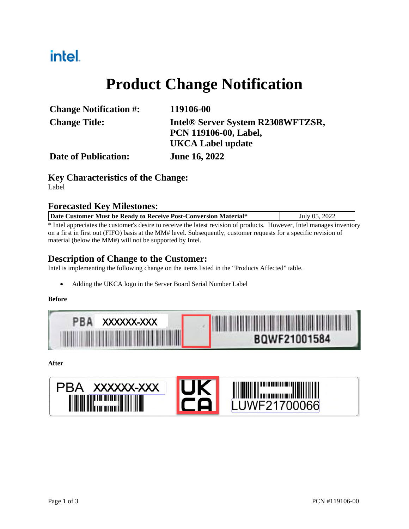## intel.

# **Product Change Notification**

| <b>Change Notification #:</b> | 119106-00                         |
|-------------------------------|-----------------------------------|
| <b>Change Title:</b>          | Intel® Server System R2308WFTZSR, |
|                               | <b>PCN 119106-00, Label,</b>      |
|                               | <b>UKCA Label update</b>          |
| <b>Date of Publication:</b>   | <b>June 16, 2022</b>              |

### **Key Characteristics of the Change:**

Label

### **Forecasted Key Milestones:**

|  | Date Customer Must be Ready to Receive Post-Conversion Material* | July 05, 2022 |
|--|------------------------------------------------------------------|---------------|
|--|------------------------------------------------------------------|---------------|

\* Intel appreciates the customer's desire to receive the latest revision of products. However, Intel manages inventory on a first in first out (FIFO) basis at the MM# level. Subsequently, customer requests for a specific revision of material (below the MM#) will not be supported by Intel.

## **Description of Change to the Customer:**

Intel is implementing the following change on the items listed in the "Products Affected" table.

Adding the UKCA logo in the Server Board Serial Number Label

### **Before**



**After** 

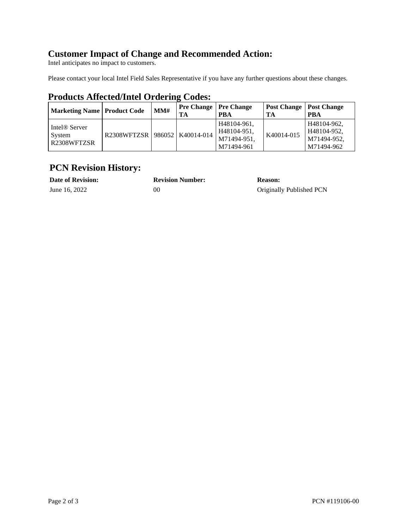## **Customer Impact of Change and Recommended Action:**

Intel anticipates no impact to customers.

Please contact your local Intel Field Sales Representative if you have any further questions about these changes.

## **Products Affected/Intel Ordering Codes:**

| <b>Marketing Name   Product Code</b>                                        |                                   | MM# | <b>Pre Change   Pre Change</b><br>TA | PBA                                                     | <b>Post Change   Post Change</b><br>TA | PBA                                                     |
|-----------------------------------------------------------------------------|-----------------------------------|-----|--------------------------------------|---------------------------------------------------------|----------------------------------------|---------------------------------------------------------|
| Intel <sup>®</sup> Server<br>System<br>R <sub>2308</sub> WFT <sub>ZSR</sub> | R2308WFTZSR   986052   K40014-014 |     |                                      | H48104-961,<br>H48104-951.<br>M71494-951,<br>M71494-961 | K40014-015                             | H48104-962,<br>H48104-952,<br>M71494-952,<br>M71494-962 |

## **PCN Revision History:**

| <b>Date of Revision:</b> | <b>Revision Number:</b> | <b>Reason:</b>           |
|--------------------------|-------------------------|--------------------------|
| June 16. 2022            | 00                      | Originally Published PCN |